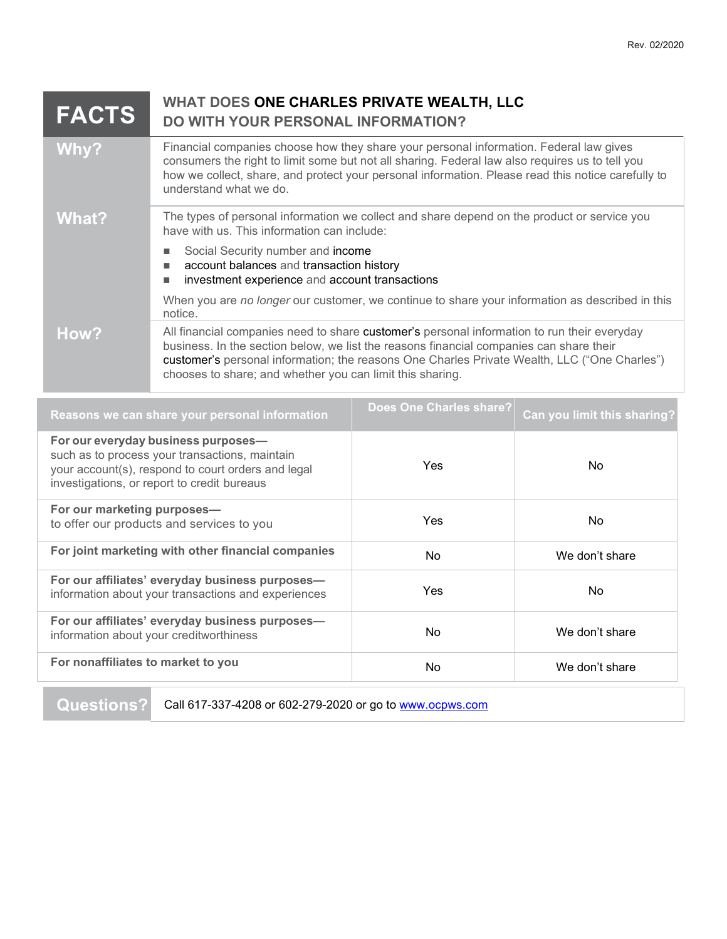## **WHAT DOES ONE CHARLES PRIVATE WEALTH, LLC DO WITH YOUR PERSONAL INFORMATION? FACTS**

| Why?  | Financial companies choose how they share your personal information. Federal law gives<br>consumers the right to limit some but not all sharing. Federal law also requires us to tell you<br>how we collect, share, and protect your personal information. Please read this notice carefully to<br>understand what we do.                           |
|-------|-----------------------------------------------------------------------------------------------------------------------------------------------------------------------------------------------------------------------------------------------------------------------------------------------------------------------------------------------------|
| What? | The types of personal information we collect and share depend on the product or service you<br>have with us. This information can include:                                                                                                                                                                                                          |
|       | Social Security number and income<br>account balances and transaction history<br>investment experience and account transactions                                                                                                                                                                                                                     |
|       | When you are no longer our customer, we continue to share your information as described in this<br>notice.                                                                                                                                                                                                                                          |
| How?  | All financial companies need to share customer's personal information to run their everyday<br>business. In the section below, we list the reasons financial companies can share their<br>customer's personal information; the reasons One Charles Private Wealth, LLC ("One Charles")<br>chooses to share; and whether you can limit this sharing. |

| Reasons we can share your personal information                                                                                                                                             | Does One Charles share? | Can you limit this sharing? |
|--------------------------------------------------------------------------------------------------------------------------------------------------------------------------------------------|-------------------------|-----------------------------|
| For our everyday business purposes-<br>such as to process your transactions, maintain<br>your account(s), respond to court orders and legal<br>investigations, or report to credit bureaus | Yes                     | No.                         |
| For our marketing purposes-<br>to offer our products and services to you                                                                                                                   | Yes                     | No.                         |
| For joint marketing with other financial companies                                                                                                                                         | N <sub>o</sub>          | We don't share              |
| For our affiliates' everyday business purposes-<br>information about your transactions and experiences                                                                                     | Yes                     | No.                         |
| For our affiliates' everyday business purposes-<br>information about your creditworthiness                                                                                                 | No.                     | We don't share              |
| For nonaffiliates to market to you                                                                                                                                                         | N <sub>0</sub>          | We don't share              |

**Questions?** Call 617-337-4208 or 602-279-2020 or go to [www.ocpws.com](http://www.ocpws.com/)